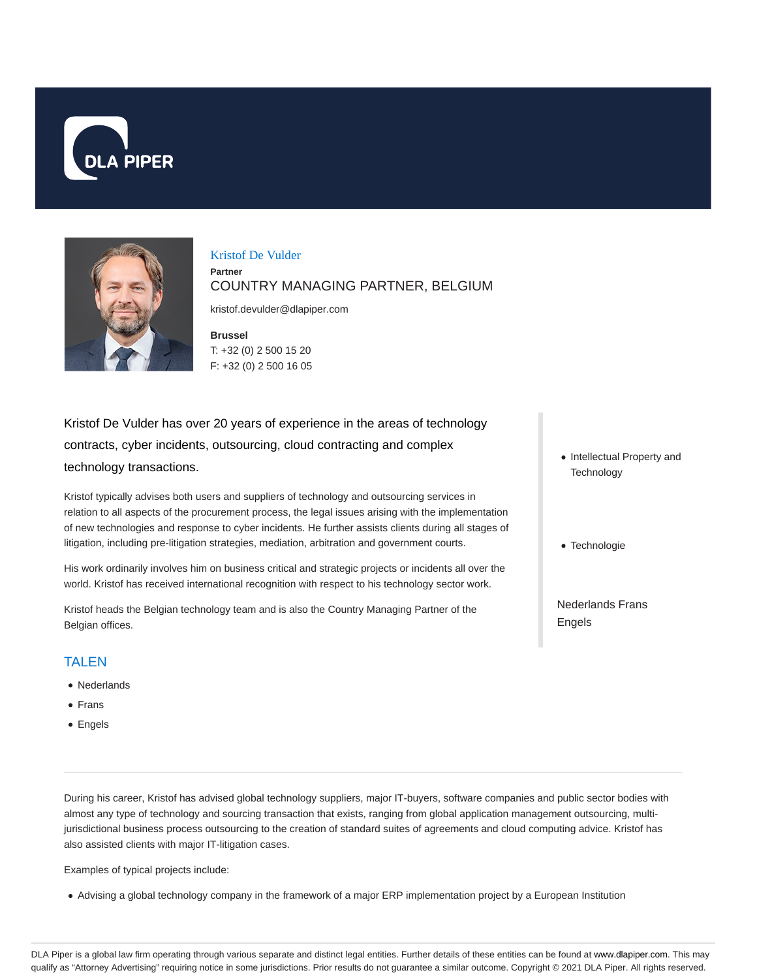



#### Kristof De Vulder

**Partner** COUNTRY MANAGING PARTNER, BELGIUM

kristof.devulder@dlapiper.com

**Brussel** T: +32 (0) 2 500 15 20 F: +32 (0) 2 500 16 05

# Kristof De Vulder has over 20 years of experience in the areas of technology contracts, cyber incidents, outsourcing, cloud contracting and complex technology transactions.

Kristof typically advises both users and suppliers of technology and outsourcing services in relation to all aspects of the procurement process, the legal issues arising with the implementation of new technologies and response to cyber incidents. He further assists clients during all stages of litigation, including pre-litigation strategies, mediation, arbitration and government courts.

His work ordinarily involves him on business critical and strategic projects or incidents all over the world. Kristof has received international recognition with respect to his technology sector work.

Kristof heads the Belgian technology team and is also the Country Managing Partner of the Belgian offices.

### TALEN

- Nederlands
- Frans
- Engels
- Intellectual Property and **Technology**
- Technologie

Nederlands Frans Engels

During his career, Kristof has advised global technology suppliers, major IT-buyers, software companies and public sector bodies with almost any type of technology and sourcing transaction that exists, ranging from global application management outsourcing, multijurisdictional business process outsourcing to the creation of standard suites of agreements and cloud computing advice. Kristof has also assisted clients with major IT-litigation cases.

Examples of typical projects include:

Advising a global technology company in the framework of a major ERP implementation project by a European Institution

DLA Piper is a global law firm operating through various separate and distinct legal entities. Further details of these entities can be found at www.dlapiper.com. This may qualify as "Attorney Advertising" requiring notice in some jurisdictions. Prior results do not guarantee a similar outcome. Copyright @ 2021 DLA Piper. All rights reserved.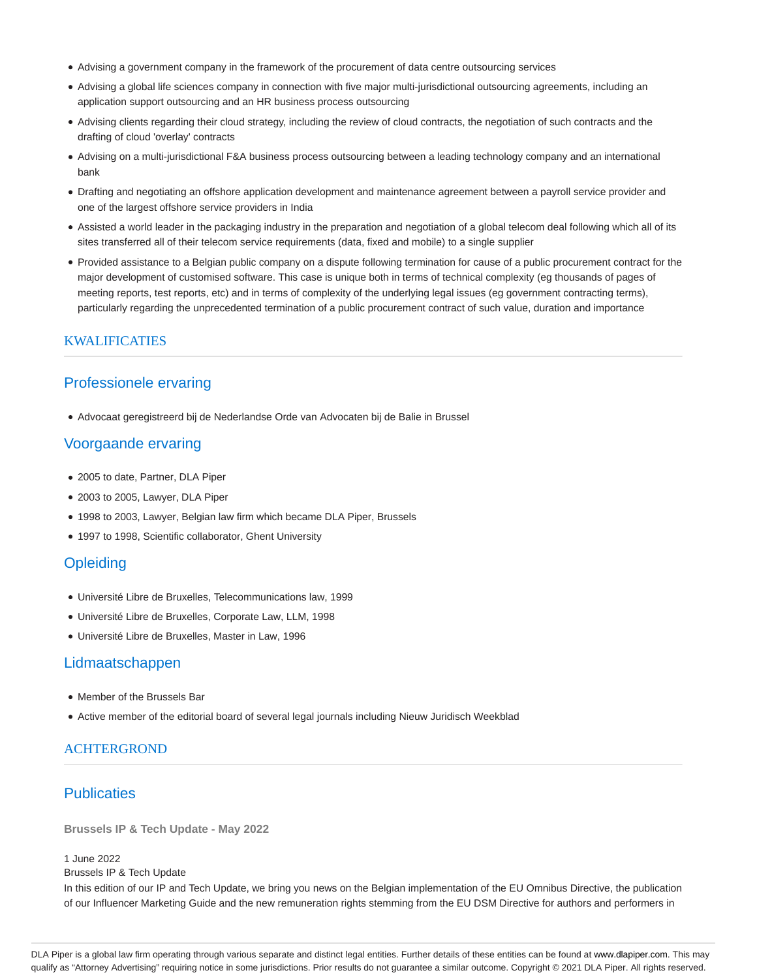- Advising a government company in the framework of the procurement of data centre outsourcing services
- Advising a global life sciences company in connection with five major multi-jurisdictional outsourcing agreements, including an application support outsourcing and an HR business process outsourcing
- Advising clients regarding their cloud strategy, including the review of cloud contracts, the negotiation of such contracts and the drafting of cloud 'overlay' contracts
- Advising on a multi-jurisdictional F&A business process outsourcing between a leading technology company and an international bank
- Drafting and negotiating an offshore application development and maintenance agreement between a payroll service provider and one of the largest offshore service providers in India
- Assisted a world leader in the packaging industry in the preparation and negotiation of a global telecom deal following which all of its sites transferred all of their telecom service requirements (data, fixed and mobile) to a single supplier
- Provided assistance to a Belgian public company on a dispute following termination for cause of a public procurement contract for the major development of customised software. This case is unique both in terms of technical complexity (eg thousands of pages of meeting reports, test reports, etc) and in terms of complexity of the underlying legal issues (eg government contracting terms), particularly regarding the unprecedented termination of a public procurement contract of such value, duration and importance

### KWALIFICATIES

# Professionele ervaring

Advocaat geregistreerd bij de Nederlandse Orde van Advocaten bij de Balie in Brussel

# Voorgaande ervaring

- 2005 to date, Partner, DLA Piper
- 2003 to 2005, Lawyer, DLA Piper
- 1998 to 2003, Lawyer, Belgian law firm which became DLA Piper, Brussels
- 1997 to 1998, Scientific collaborator, Ghent University

# **Opleiding**

- Université Libre de Bruxelles, Telecommunications law, 1999
- Université Libre de Bruxelles, Corporate Law, LLM, 1998
- Université Libre de Bruxelles, Master in Law, 1996

### Lidmaatschappen

- Member of the Brussels Bar
- Active member of the editorial board of several legal journals including Nieuw Juridisch Weekblad

# ACHTERGROND

# **Publicaties**

**Brussels IP & Tech Update - May 2022**

#### 1 June 2022

Brussels IP & Tech Update

In this edition of our IP and Tech Update, we bring you news on the Belgian implementation of the EU Omnibus Directive, the publication of our Influencer Marketing Guide and the new remuneration rights stemming from the EU DSM Directive for authors and performers in

DLA Piper is a global law firm operating through various separate and distinct legal entities. Further details of these entities can be found at www.dlapiper.com. This may qualify as "Attorney Advertising" requiring notice in some jurisdictions. Prior results do not guarantee a similar outcome. Copyright © 2021 DLA Piper. All rights reserved.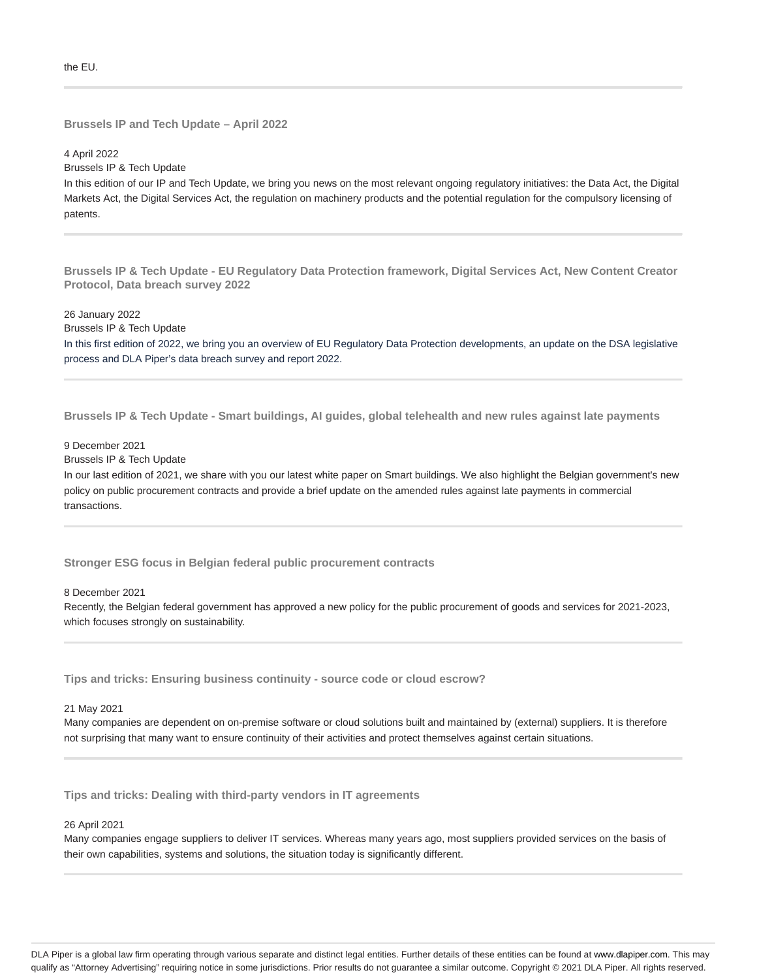the EU.

**Brussels IP and Tech Update – April 2022**

4 April 2022

Brussels IP & Tech Update

In this edition of our IP and Tech Update, we bring you news on the most relevant ongoing regulatory initiatives: the Data Act, the Digital Markets Act, the Digital Services Act, the regulation on machinery products and the potential regulation for the compulsory licensing of patents.

**Brussels IP & Tech Update - EU Regulatory Data Protection framework, Digital Services Act, New Content Creator Protocol, Data breach survey 2022**

26 January 2022

Brussels IP & Tech Update

In this first edition of 2022, we bring you an overview of EU Regulatory Data Protection developments, an update on the DSA legislative process and DLA Piper's data breach survey and report 2022.

**Brussels IP & Tech Update - Smart buildings, AI guides, global telehealth and new rules against late payments**

#### 9 December 2021

Brussels IP & Tech Update

In our last edition of 2021, we share with you our latest white paper on Smart buildings. We also highlight the Belgian government's new policy on public procurement contracts and provide a brief update on the amended rules against late payments in commercial transactions.

#### **Stronger ESG focus in Belgian federal public procurement contracts**

#### 8 December 2021

Recently, the Belgian federal government has approved a new policy for the public procurement of goods and services for 2021-2023, which focuses strongly on sustainability.

**Tips and tricks: Ensuring business continuity - source code or cloud escrow?**

#### 21 May 2021

Many companies are dependent on on-premise software or cloud solutions built and maintained by (external) suppliers. It is therefore not surprising that many want to ensure continuity of their activities and protect themselves against certain situations.

**Tips and tricks: Dealing with third-party vendors in IT agreements**

#### 26 April 2021

Many companies engage suppliers to deliver IT services. Whereas many years ago, most suppliers provided services on the basis of their own capabilities, systems and solutions, the situation today is significantly different.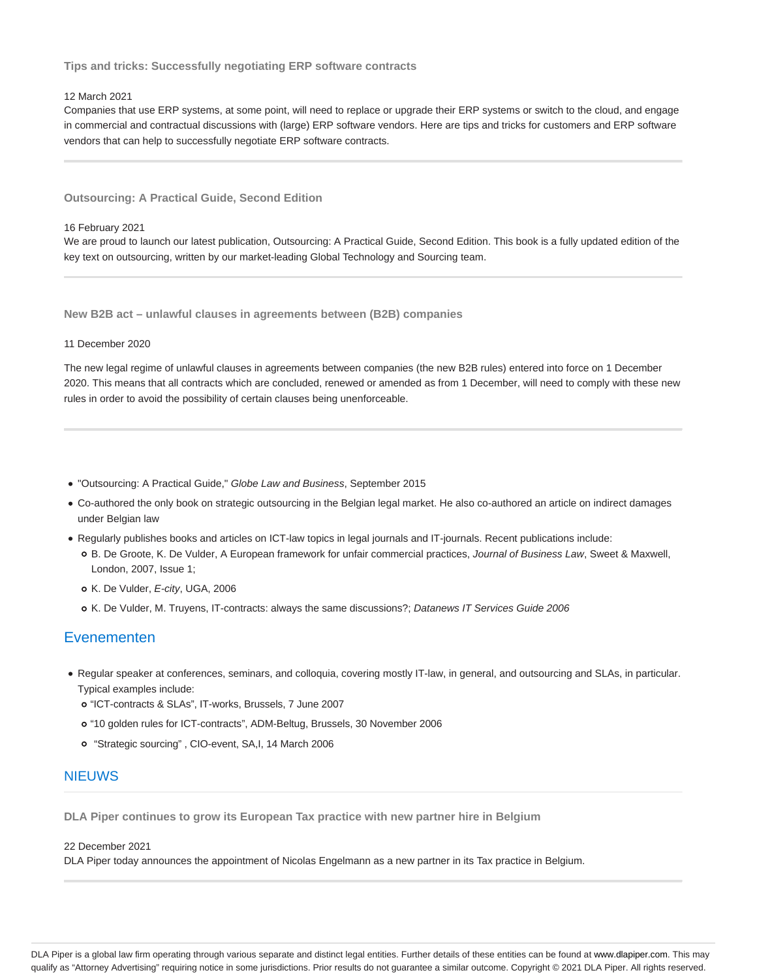**Tips and tricks: Successfully negotiating ERP software contracts**

#### 12 March 2021

Companies that use ERP systems, at some point, will need to replace or upgrade their ERP systems or switch to the cloud, and engage in commercial and contractual discussions with (large) ERP software vendors. Here are tips and tricks for customers and ERP software vendors that can help to successfully negotiate ERP software contracts.

#### **Outsourcing: A Practical Guide, Second Edition**

#### 16 February 2021

We are proud to launch our latest publication, Outsourcing: A Practical Guide, Second Edition. This book is a fully updated edition of the key text on outsourcing, written by our market-leading Global Technology and Sourcing team.

**New B2B act – unlawful clauses in agreements between (B2B) companies**

#### 11 December 2020

The new legal regime of unlawful clauses in agreements between companies (the new B2B rules) entered into force on 1 December 2020. This means that all contracts which are concluded, renewed or amended as from 1 December, will need to comply with these new rules in order to avoid the possibility of certain clauses being unenforceable.

- "Outsourcing: A Practical Guide," Globe Law and Business, September 2015
- Co-authored the only book on strategic outsourcing in the Belgian legal market. He also co-authored an article on indirect damages under Belgian law
- Regularly publishes books and articles on ICT-law topics in legal journals and IT-journals. Recent publications include:
	- o B. De Groote, K. De Vulder, A European framework for unfair commercial practices, Journal of Business Law, Sweet & Maxwell, London, 2007, Issue 1;
	- o K. De Vulder, E-city, UGA, 2006
	- o K. De Vulder, M. Truyens, IT-contracts: always the same discussions?; Datanews IT Services Guide 2006

### Evenementen

- Regular speaker at conferences, seminars, and colloquia, covering mostly IT-law, in general, and outsourcing and SLAs, in particular. Typical examples include:
	- "ICT-contracts & SLAs", IT-works, Brussels, 7 June 2007
	- "10 golden rules for ICT-contracts", ADM-Beltug, Brussels, 30 November 2006
	- "Strategic sourcing" , CIO-event, SA,I, 14 March 2006

### NIEUWS

**DLA Piper continues to grow its European Tax practice with new partner hire in Belgium**

#### 22 December 2021

DLA Piper today announces the appointment of Nicolas Engelmann as a new partner in its Tax practice in Belgium.